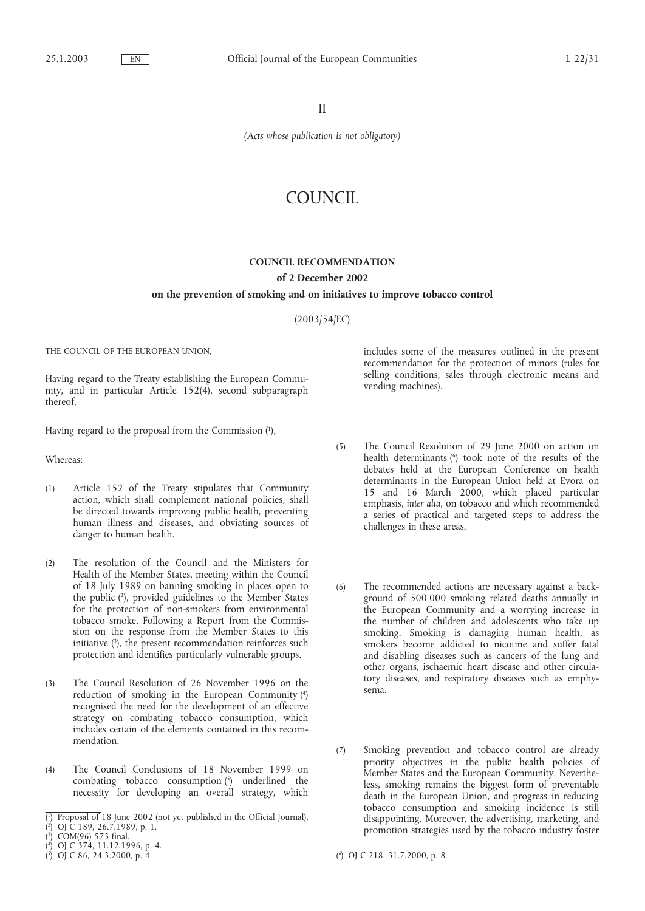II

*(Acts whose publication is not obligatory)*

# COUNCIL

### **COUNCIL RECOMMENDATION**

## **of 2 December 2002**

#### **on the prevention of smoking andon initiatives to improve tobacco control**

(2003/54/EC)

THE COUNCIL OF THE EUROPEAN UNION,

Having regard to the Treaty establishing the European Community, and in particular Article 152(4), second subparagraph thereof,

Having regard to the proposal from the Commission (1 ),

Whereas:

- (1) Article 152 of the Treaty stipulates that Community action, which shall complement national policies, shall be directed towards improving public health, preventing human illness and diseases, and obviating sources of danger to human health.
- (2) The resolution of the Council and the Ministers for Health of the Member States, meeting within the Council of 18 July 1989 on banning smoking in places open to the public (2 ), provided guidelines to the Member States for the protection of non-smokers from environmental tobacco smoke. Following a Report from the Commission on the response from the Member States to this initiative (3 ), the present recommendation reinforces such protection and identifies particularly vulnerable groups.
- (3) The Council Resolution of 26 November 1996 on the reduction of smoking in the European Community (4 ) recognised the need for the development of an effective strategy on combating tobacco consumption, which includes certain of the elements contained in this recommendation.
- (4) The Council Conclusions of 18 November 1999 on combating tobacco consumption (5 ) underlined the necessity for developing an overall strategy, which

includes some of the measures outlined in the present recommendation for the protection of minors (rules for selling conditions, sales through electronic means and vending machines).

- (5) The Council Resolution of 29 June 2000 on action on health determinants (6 ) took note of the results of the debates held at the European Conference on health determinants in the European Union held at Evora on 15 and 16 March 2000, which placed particular emphasis, *inter alia*, on tobacco and which recommended a series of practical and targeted steps to address the challenges in these areas.
- (6) The recommended actions are necessary against a background of 500 000 smoking related deaths annually in the European Community and a worrying increase in the number of children and adolescents who take up smoking. Smoking is damaging human health, as smokers become addicted to nicotine and suffer fatal and disabling diseases such as cancers of the lung and other organs, ischaemic heart disease and other circulatory diseases, and respiratory diseases such as emphysema.
- (7) Smoking prevention and tobacco control are already priority objectives in the public health policies of Member States and the European Community. Nevertheless, smoking remains the biggest form of preventable death in the European Union, and progress in reducing tobacco consumption and smoking incidence is still disappointing. Moreover, the advertising, marketing, and promotion strategies used by the tobacco industry foster

<sup>(</sup> 1 ) Proposal of 18 June 2002 (not yet published in the Official Journal).

<sup>(</sup> 2 ) OJ C 189, 26.7.1989, p. 1.

<sup>(</sup> 3 ) COM(96) 573 final.

<sup>(</sup> 4 ) OJ C 374, 11.12.1996, p. 4.

 $(3)$  OJ C 86, 24.3.2000, p. 4.

<sup>6</sup> ) OJ C 218, 31.7.2000, p. 8.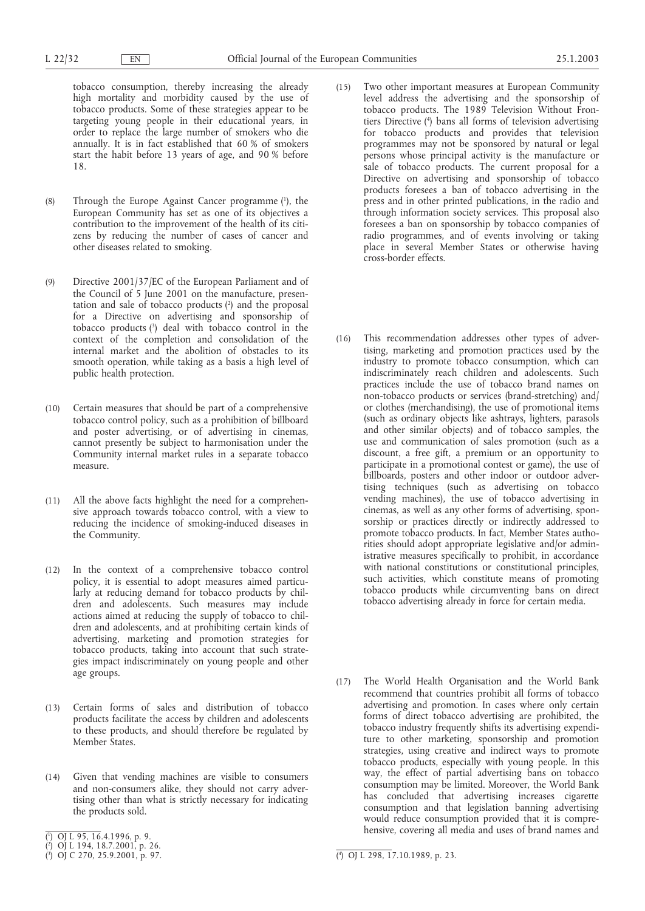tobacco consumption, thereby increasing the already high mortality and morbidity caused by the use of tobacco products. Some of these strategies appear to be targeting young people in their educational years, in order to replace the large number of smokers who die annually. It is in fact established that 60 % of smokers start the habit before 13 years of age, and 90 % before 18.

- (8) Through the Europe Against Cancer programme (1 ), the European Community has set as one of its objectives a contribution to the improvement of the health of its citizens by reducing the number of cases of cancer and other diseases related to smoking.
- (9) Directive 2001/37/EC of the European Parliament and of the Council of 5 June 2001 on the manufacture, presentation and sale of tobacco products (2 ) and the proposal for a Directive on advertising and sponsorship of tobacco products (3 ) deal with tobacco control in the context of the completion and consolidation of the internal market and the abolition of obstacles to its smooth operation, while taking as a basis a high level of public health protection.
- (10) Certain measures that should be part of a comprehensive tobacco control policy, such as a prohibition of billboard and poster advertising, or of advertising in cinemas, cannot presently be subject to harmonisation under the Community internal market rules in a separate tobacco measure.
- (11) All the above facts highlight the need for a comprehensive approach towards tobacco control, with a view to reducing the incidence of smoking-induced diseases in the Community.
- (12) In the context of a comprehensive tobacco control policy, it is essential to adopt measures aimed particularly at reducing demand for tobacco products by children and adolescents. Such measures may include actions aimed at reducing the supply of tobacco to children and adolescents, and at prohibiting certain kinds of advertising, marketing and promotion strategies for tobacco products, taking into account that such strategies impact indiscriminately on young people and other age groups.
- (13) Certain forms of sales and distribution of tobacco products facilitate the access by children and adolescents to these products, and should therefore be regulated by Member States.
- $(14)$  Given that vending machines are visible to consumers and non-consumers alike, they should not carry advertising other than what is strictly necessary for indicating the products sold.
- (15) Two other important measures at European Community level address the advertising and the sponsorship of tobacco products. The 1989 Television Without Frontiers Directive (4 ) bans all forms of television advertising for tobacco products and provides that television programmes may not be sponsored by natural or legal persons whose principal activity is the manufacture or sale of tobacco products. The current proposal for a Directive on advertising and sponsorship of tobacco products foresees a ban of tobacco advertising in the press and in other printed publications, in the radio and through information society services. This proposal also foresees a ban on sponsorship by tobacco companies of radio programmes, and of events involving or taking place in several Member States or otherwise having cross-border effects.
- (16) This recommendation addresses other types of advertising, marketing and promotion practices used by the industry to promote tobacco consumption, which can indiscriminately reach children and adolescents. Such practices include the use of tobacco brand names on non-tobacco products or services (brand-stretching) and/ or clothes (merchandising), the use of promotional items (such as ordinary objects like ashtrays, lighters, parasols and other similar objects) and of tobacco samples, the use and communication of sales promotion (such as a discount, a free gift, a premium or an opportunity to participate in a promotional contest or game), the use of billboards, posters and other indoor or outdoor advertising techniques (such as advertising on tobacco vending machines), the use of tobacco advertising in cinemas, as well as any other forms of advertising, sponsorship or practices directly or indirectly addressed to promote tobacco products. In fact, Member States authorities should adopt appropriate legislative and/or administrative measures specifically to prohibit, in accordance with national constitutions or constitutional principles, such activities, which constitute means of promoting tobacco products while circumventing bans on direct tobacco advertising already in force for certain media.
- (17) The World Health Organisation and the World Bank recommend that countries prohibit all forms of tobacco advertising and promotion. In cases where only certain forms of direct tobacco advertising are prohibited, the tobacco industry frequently shifts its advertising expenditure to other marketing, sponsorship and promotion strategies, using creative and indirect ways to promote tobacco products, especially with young people. In this way, the effect of partial advertising bans on tobacco consumption may be limited. Moreover, the World Bank has concluded that advertising increases cigarette consumption and that legislation banning advertising would reduce consumption provided that it is comprehensive, covering all media and uses of brand names and

<sup>(</sup> 1 ) OJ L 95, 16.4.1996, p. 9.

<sup>(</sup> 2 ) OJ L 194, 18.7.2001, p. 26.

 $\binom{3}{2}$  OJ C 270, 25.9.2001, p. 97.

<sup>4</sup> ) OJ L 298, 17.10.1989, p. 23.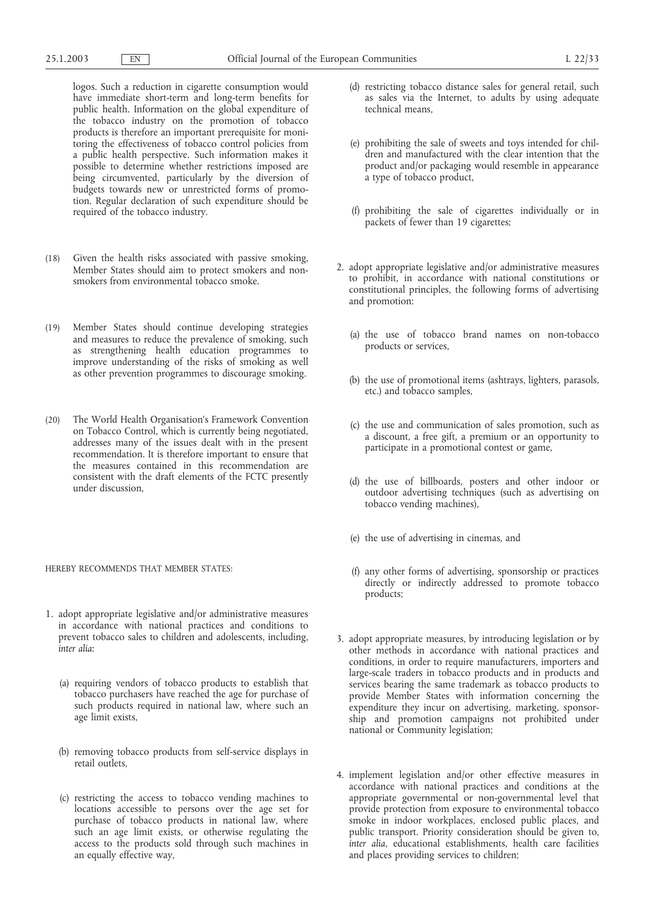logos. Such a reduction in cigarette consumption would have immediate short-term and long-term benefits for public health. Information on the global expenditure of the tobacco industry on the promotion of tobacco products is therefore an important prerequisite for monitoring the effectiveness of tobacco control policies from a public health perspective. Such information makes it possible to determine whether restrictions imposed are being circumvented, particularly by the diversion of budgets towards new or unrestricted forms of promotion. Regular declaration of such expenditure should be required of the tobacco industry.

- (18) Given the health risks associated with passive smoking, Member States should aim to protect smokers and nonsmokers from environmental tobacco smoke.
- (19) Member States should continue developing strategies and measures to reduce the prevalence of smoking, such as strengthening health education programmes to improve understanding of the risks of smoking as well as other prevention programmes to discourage smoking.
- (20) The World Health Organisation's Framework Convention on Tobacco Control, which is currently being negotiated, addresses many of the issues dealt with in the present recommendation. It is therefore important to ensure that the measures contained in this recommendation are consistent with the draft elements of the FCTC presently under discussion,

#### HEREBY RECOMMENDS THAT MEMBER STATES:

- 1. adopt appropriate legislative and/or administrative measures in accordance with national practices and conditions to prevent tobacco sales to children and adolescents, including, *inter alia*:
	- (a) requiring vendors of tobacco products to establish that tobacco purchasers have reached the age for purchase of such products required in national law, where such an age limit exists,
	- (b) removing tobacco products from self-service displays in retail outlets,
	- (c) restricting the access to tobacco vending machines to locations accessible to persons over the age set for purchase of tobacco products in national law, where such an age limit exists, or otherwise regulating the access to the products sold through such machines in an equally effective way,
- (d) restricting tobacco distance sales for general retail, such as sales via the Internet, to adults by using adequate technical means,
- (e) prohibiting the sale of sweets and toys intended for children and manufactured with the clear intention that the product and/or packaging would resemble in appearance a type of tobacco product,
- (f) prohibiting the sale of cigarettes individually or in packets of fewer than 19 cigarettes;
- 2. adopt appropriate legislative and/or administrative measures to prohibit, in accordance with national constitutions or constitutional principles, the following forms of advertising and promotion:
	- (a) the use of tobacco brand names on non-tobacco products or services,
	- (b) the use of promotional items (ashtrays, lighters, parasols, etc.) and tobacco samples,
	- (c) the use and communication of sales promotion, such as a discount, a free gift, a premium or an opportunity to participate in a promotional contest or game,
	- (d) the use of billboards, posters and other indoor or outdoor advertising techniques (such as advertising on tobacco vending machines),
	- (e) the use of advertising in cinemas, and
	- (f) any other forms of advertising, sponsorship or practices directly or indirectly addressed to promote tobacco products;
- 3. adopt appropriate measures, by introducing legislation or by other methods in accordance with national practices and conditions, in order to require manufacturers, importers and large-scale traders in tobacco products and in products and services bearing the same trademark as tobacco products to provide Member States with information concerning the expenditure they incur on advertising, marketing, sponsorship and promotion campaigns not prohibited under national or Community legislation;
- 4. implement legislation and/or other effective measures in accordance with national practices and conditions at the appropriate governmental or non-governmental level that provide protection from exposure to environmental tobacco smoke in indoor workplaces, enclosed public places, and public transport. Priority consideration should be given to, *inter alia*, educational establishments, health care facilities and places providing services to children;